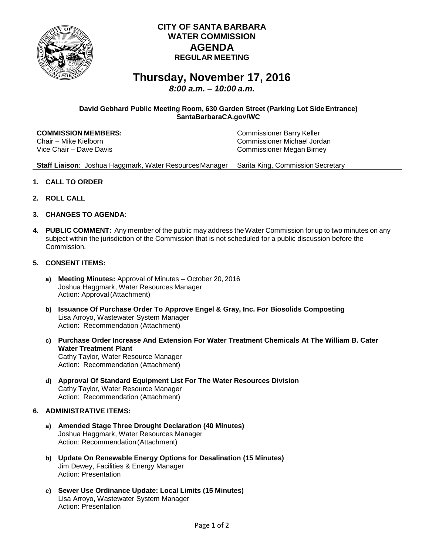

## **CITY OF SANTA BARBARA WATER COMMISSION AGENDA REGULAR MEETING**

# **Thursday, November 17, 2016**

*8:00 a.m. – 10:00 a.m.*

### **David Gebhard Public Meeting Room, 630 Garden Street (Parking Lot SideEntrance) SantaBarbaraCA.gov/WC**

| <b>COMMISSION MEMBERS:</b> | <b>Commissioner Barry Keller</b> |
|----------------------------|----------------------------------|
| Chair – Mike Kielborn      | Commissioner Michael Jordan      |
| Vice Chair – Dave Davis    | Commissioner Megan Birney        |

**Staff Liaison**: Joshua Haggmark, Water ResourcesManager Sarita King, Commission Secretary

- **1. CALL TO ORDER**
- **2. ROLL CALL**
- **3. CHANGES TO AGENDA:**
- **4. PUBLIC COMMENT:** Any member of the public may address theWater Commission for up to two minutes on any subject within the jurisdiction of the Commission that is not scheduled for a public discussion before the Commission.
- **5. CONSENT ITEMS:**
	- **a) Meeting Minutes:** Approval of Minutes October 20, 2016 Joshua Haggmark, Water Resources Manager Action: Approval(Attachment)
	- **b) Issuance Of Purchase Order To Approve Engel & Gray, Inc. For Biosolids Composting** Lisa Arroyo, Wastewater System Manager Action: Recommendation (Attachment)
	- **c) Purchase Order Increase And Extension For Water Treatment Chemicals At The William B. Cater Water Treatment Plant** Cathy Taylor, Water Resource Manager Action: Recommendation (Attachment)
	- **d) Approval Of Standard Equipment List For The Water Resources Division** Cathy Taylor, Water Resource Manager Action: Recommendation (Attachment)

#### **6. ADMINISTRATIVE ITEMS:**

- **a) Amended Stage Three Drought Declaration (40 Minutes)** Joshua Haggmark, Water Resources Manager Action: Recommendation(Attachment)
- **b) Update On Renewable Energy Options for Desalination (15 Minutes)** Jim Dewey, Facilities & Energy Manager Action: Presentation
- **c) Sewer Use Ordinance Update: Local Limits (15 Minutes)** Lisa Arroyo, Wastewater System Manager Action: Presentation